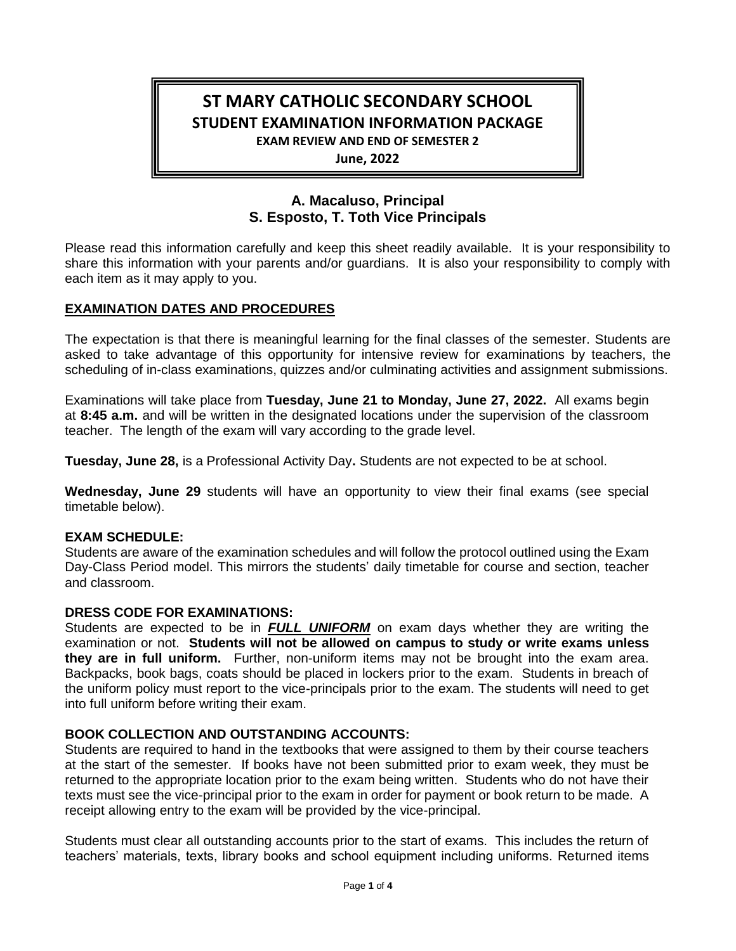# **ST MARY CATHOLIC SECONDARY SCHOOL STUDENT EXAMINATION INFORMATION PACKAGE EXAM REVIEW AND END OF SEMESTER 2**

**June, 2022**

## **A. Macaluso, Principal S. Esposto, T. Toth Vice Principals**

Please read this information carefully and keep this sheet readily available. It is your responsibility to share this information with your parents and/or guardians. It is also your responsibility to comply with each item as it may apply to you.

## **EXAMINATION DATES AND PROCEDURES**

The expectation is that there is meaningful learning for the final classes of the semester. Students are asked to take advantage of this opportunity for intensive review for examinations by teachers, the scheduling of in-class examinations, quizzes and/or culminating activities and assignment submissions.

Examinations will take place from **Tuesday, June 21 to Monday, June 27, 2022.** All exams begin at **8:45 a.m.** and will be written in the designated locations under the supervision of the classroom teacher. The length of the exam will vary according to the grade level.

**Tuesday, June 28,** is a Professional Activity Day**.** Students are not expected to be at school.

**Wednesday, June 29** students will have an opportunity to view their final exams (see special timetable below).

## **EXAM SCHEDULE:**

Students are aware of the examination schedules and will follow the protocol outlined using the Exam Day-Class Period model. This mirrors the students' daily timetable for course and section, teacher and classroom.

## **DRESS CODE FOR EXAMINATIONS:**

Students are expected to be in *FULL UNIFORM* on exam days whether they are writing the examination or not. **Students will not be allowed on campus to study or write exams unless they are in full uniform.** Further, non-uniform items may not be brought into the exam area. Backpacks, book bags, coats should be placed in lockers prior to the exam. Students in breach of the uniform policy must report to the vice-principals prior to the exam. The students will need to get into full uniform before writing their exam.

## **BOOK COLLECTION AND OUTSTANDING ACCOUNTS:**

Students are required to hand in the textbooks that were assigned to them by their course teachers at the start of the semester. If books have not been submitted prior to exam week, they must be returned to the appropriate location prior to the exam being written. Students who do not have their texts must see the vice-principal prior to the exam in order for payment or book return to be made. A receipt allowing entry to the exam will be provided by the vice-principal.

Students must clear all outstanding accounts prior to the start of exams. This includes the return of teachers' materials, texts, library books and school equipment including uniforms. Returned items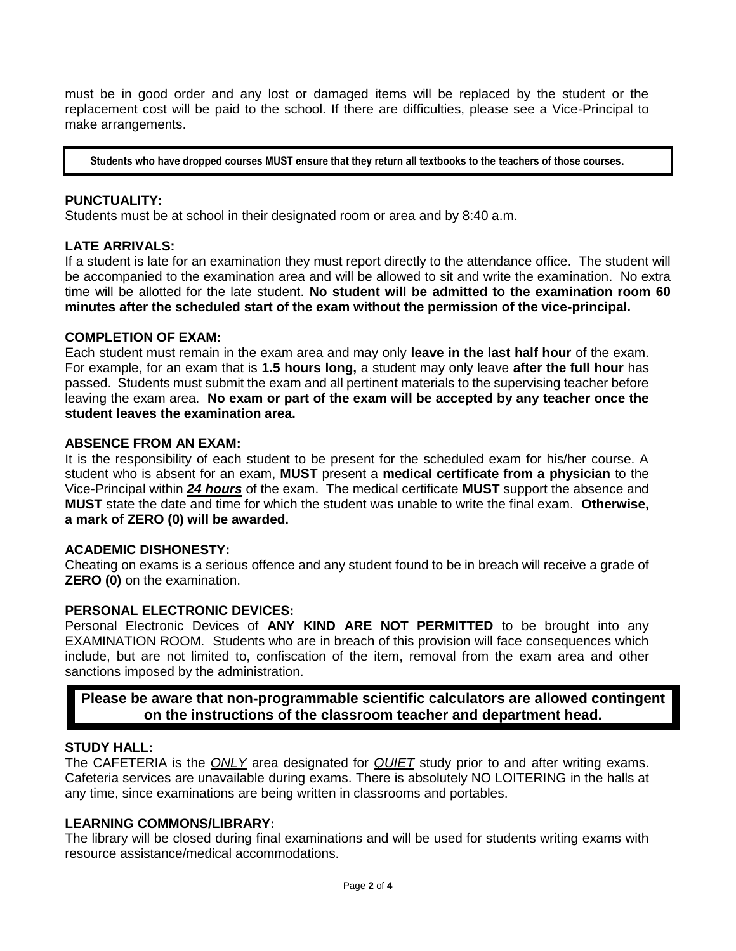must be in good order and any lost or damaged items will be replaced by the student or the replacement cost will be paid to the school. If there are difficulties, please see a Vice-Principal to make arrangements.

**Students who have dropped courses MUST ensure that they return all textbooks to the teachers of those courses.**

#### **PUNCTUALITY:**

Students must be at school in their designated room or area and by 8:40 a.m.

#### **LATE ARRIVALS:**

If a student is late for an examination they must report directly to the attendance office. The student will be accompanied to the examination area and will be allowed to sit and write the examination. No extra time will be allotted for the late student. **No student will be admitted to the examination room 60 minutes after the scheduled start of the exam without the permission of the vice-principal.**

#### **COMPLETION OF EXAM:**

Each student must remain in the exam area and may only **leave in the last half hour** of the exam. For example, for an exam that is **1.5 hours long,** a student may only leave **after the full hour** has passed. Students must submit the exam and all pertinent materials to the supervising teacher before leaving the exam area. **No exam or part of the exam will be accepted by any teacher once the student leaves the examination area.**

## **ABSENCE FROM AN EXAM:**

It is the responsibility of each student to be present for the scheduled exam for his/her course. A student who is absent for an exam, **MUST** present a **medical certificate from a physician** to the Vice-Principal within *24 hours* of the exam. The medical certificate **MUST** support the absence and **MUST** state the date and time for which the student was unable to write the final exam. **Otherwise, a mark of ZERO (0) will be awarded.**

#### **ACADEMIC DISHONESTY:**

Cheating on exams is a serious offence and any student found to be in breach will receive a grade of **ZERO (0)** on the examination.

#### **PERSONAL ELECTRONIC DEVICES:**

Personal Electronic Devices of **ANY KIND ARE NOT PERMITTED** to be brought into any EXAMINATION ROOM.Students who are in breach of this provision will face consequences which include, but are not limited to, confiscation of the item, removal from the exam area and other sanctions imposed by the administration.

## **Please be aware that non-programmable scientific calculators are allowed contingent on the instructions of the classroom teacher and department head.**

#### **STUDY HALL:**

The CAFETERIA is the *ONLY* area designated for *QUIET* study prior to and after writing exams. Cafeteria services are unavailable during exams. There is absolutely NO LOITERING in the halls at any time, since examinations are being written in classrooms and portables.

## **LEARNING COMMONS/LIBRARY:**

The library will be closed during final examinations and will be used for students writing exams with resource assistance/medical accommodations.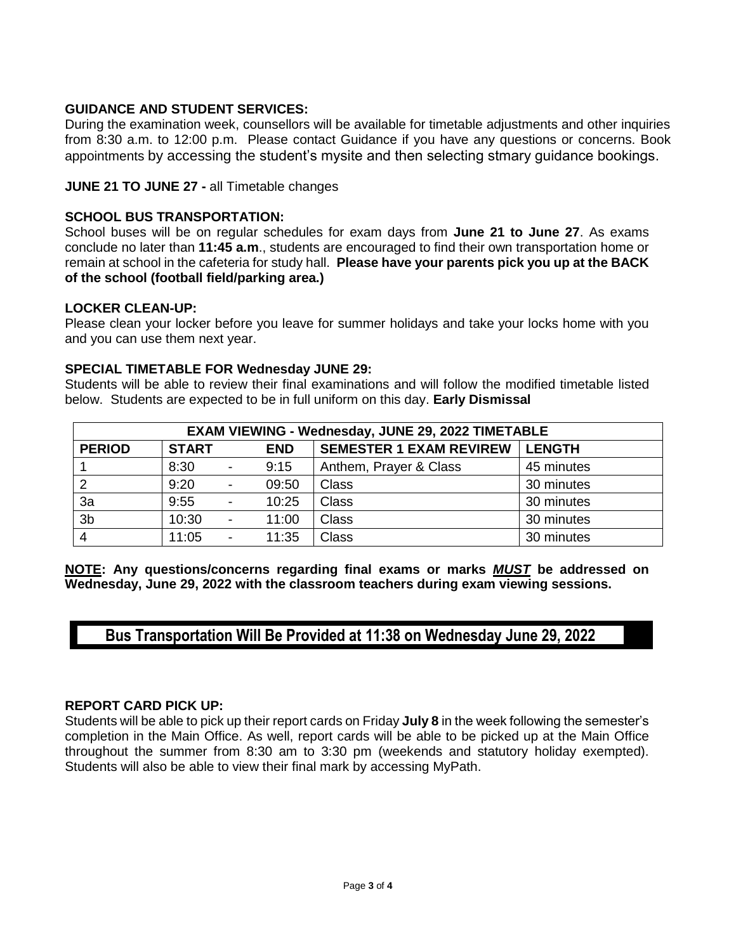## **GUIDANCE AND STUDENT SERVICES:**

During the examination week, counsellors will be available for timetable adjustments and other inquiries from 8:30 a.m. to 12:00 p.m. Please contact Guidance if you have any questions or concerns. Book appointments by accessing the student's mysite and then selecting stmary guidance bookings.

## **JUNE 21 TO JUNE 27 -** all Timetable changes

## **SCHOOL BUS TRANSPORTATION:**

School buses will be on regular schedules for exam days from **June 21 to June 27**. As exams conclude no later than **11:45 a.m**., students are encouraged to find their own transportation home or remain at school in the cafeteria for study hall. **Please have your parents pick you up at the BACK of the school (football field/parking area.)**

#### **LOCKER CLEAN-UP:**

Please clean your locker before you leave for summer holidays and take your locks home with you and you can use them next year.

#### **SPECIAL TIMETABLE FOR Wednesday JUNE 29:**

Students will be able to review their final examinations and will follow the modified timetable listed below. Students are expected to be in full uniform on this day. **Early Dismissal**

| EXAM VIEWING - Wednesday, JUNE 29, 2022 TIMETABLE |              |                          |            |                                |            |  |  |  |  |
|---------------------------------------------------|--------------|--------------------------|------------|--------------------------------|------------|--|--|--|--|
| <b>PERIOD</b>                                     | <b>START</b> |                          | <b>END</b> | <b>SEMESTER 1 EXAM REVIREW</b> | l LENGTH   |  |  |  |  |
|                                                   | 8:30         |                          | 9:15       | Anthem, Prayer & Class         | 45 minutes |  |  |  |  |
| 2                                                 | 9:20         | $\overline{\phantom{a}}$ | 09:50      | <b>Class</b>                   | 30 minutes |  |  |  |  |
| 3a                                                | 9:55         |                          | 10:25      | <b>Class</b>                   | 30 minutes |  |  |  |  |
| 3b                                                | 10:30        |                          | 11:00      | <b>Class</b>                   | 30 minutes |  |  |  |  |
| $\overline{4}$                                    | 11:05        |                          | 11:35      | Class                          | 30 minutes |  |  |  |  |

**NOTE: Any questions/concerns regarding final exams or marks** *MUST* **be addressed on Wednesday, June 29, 2022 with the classroom teachers during exam viewing sessions.**

## **Bus Transportation Will Be Provided at 11:38 on Wednesday June 29, 2022**

#### **REPORT CARD PICK UP:**

Students will be able to pick up their report cards on Friday **July 8** in the week following the semester's completion in the Main Office. As well, report cards will be able to be picked up at the Main Office throughout the summer from 8:30 am to 3:30 pm (weekends and statutory holiday exempted). Students will also be able to view their final mark by accessing MyPath.